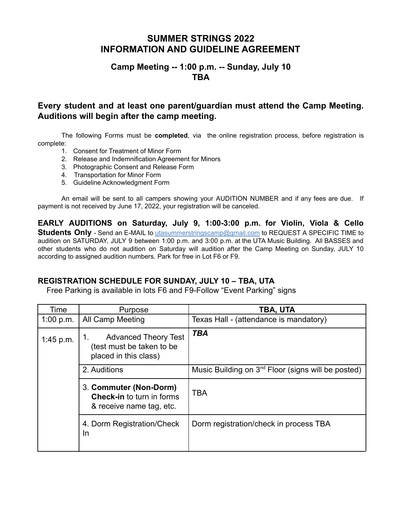# **SUMMER STRINGS 2022 INFORMATION AND GUIDELINE AGREEMENT**

## **Camp Meeting -- 1:00 p.m. -- Sunday, July 10 TBA**

# **Every student and at least one parent/guardian must attend the Camp Meeting. Auditions will begin after the camp meeting.**

The following Forms must be **completed**, via the online registration process, before registration is complete:

- 1. Consent for Treatment of Minor Form
- 2. Release and Indemnification Agreement for Minors
- 3. Photographic Consent and Release Form
- 4. Transportation for Minor Form
- 5. Guideline Acknowledgment Form

An email will be sent to all campers showing your AUDITION NUMBER and if any fees are due. If payment is not received by June 17, 2022, your registration will be canceled.

**EARLY AUDITIONS on Saturday, July 9, 1:00-3:00 p.m. for Violin, Viola & Cello Students Only** - Send an E-MAIL to utasummerstringscamp@gmail.com to REQUEST A SPECIFIC TIME to audition on SATURDAY, JULY 9 between 1:00 p.m. and 3:00 p.m. at the UTA Music Building. All BASSES and other students who do not audition on Saturday will audition after the Camp Meeting on Sunday, JULY 10 according to assigned audition numbers. Park for free in Lot F6 or F9.

## **REGISTRATION SCHEDULE FOR SUNDAY, JULY 10 – TBA, UTA**

Free Parking is available in lots F6 and F9-Follow "Event Parking" signs

| Time      | Purpose                                                                                | TBA, UTA                                                       |
|-----------|----------------------------------------------------------------------------------------|----------------------------------------------------------------|
| 1:00 p.m. | <b>All Camp Meeting</b>                                                                | Texas Hall - (attendance is mandatory)                         |
| 1:45 p.m. | <b>Advanced Theory Test</b><br>(test must be taken to be<br>placed in this class)      | <b>TBA</b>                                                     |
|           | 2. Auditions                                                                           | Music Building on 3 <sup>nd</sup> Floor (signs will be posted) |
|           | 3. Commuter (Non-Dorm)<br><b>Check-in</b> to turn in forms<br>& receive name tag, etc. | <b>TBA</b>                                                     |
|           | 4. Dorm Registration/Check<br>In                                                       | Dorm registration/check in process TBA                         |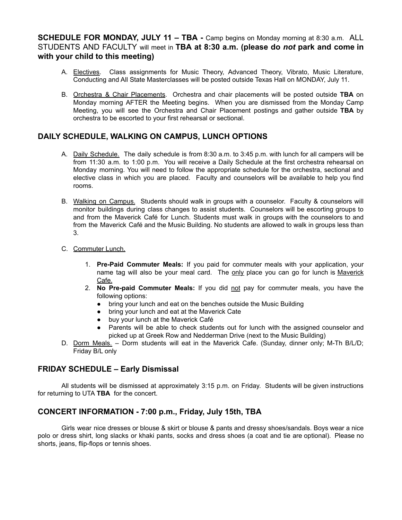### **SCHEDULE FOR MONDAY, JULY 11 – TBA -** Camp begins on Monday morning at 8:30 a.m. ALL STUDENTS AND FACULTY will meet in **TBA at 8:30 a.m. (please do** *not* **park and come in with your child to this meeting)**

- A. Electives. Class assignments for Music Theory, Advanced Theory, Vibrato, Music Literature, Conducting and All State Masterclasses will be posted outside Texas Hall on MONDAY, July 11.
- B. Orchestra & Chair Placements. Orchestra and chair placements will be posted outside **TBA** on Monday morning AFTER the Meeting begins. When you are dismissed from the Monday Camp Meeting, you will see the Orchestra and Chair Placement postings and gather outside **TBA** by orchestra to be escorted to your first rehearsal or sectional.

## **DAILY SCHEDULE, WALKING ON CAMPUS, LUNCH OPTIONS**

- A. Daily Schedule. The daily schedule is from 8:30 a.m. to 3:45 p.m. with lunch for all campers will be from 11:30 a.m. to 1:00 p.m. You will receive a Daily Schedule at the first orchestra rehearsal on Monday morning. You will need to follow the appropriate schedule for the orchestra, sectional and elective class in which you are placed. Faculty and counselors will be available to help you find rooms.
- B. Walking on Campus. Students should walk in groups with a counselor. Faculty & counselors will monitor buildings during class changes to assist students. Counselors will be escorting groups to and from the Maverick Café for Lunch. Students must walk in groups with the counselors to and from the Maverick Café and the Music Building. No students are allowed to walk in groups less than 3.
- C. Commuter Lunch.
	- 1. **Pre-Paid Commuter Meals:** If you paid for commuter meals with your application, your name tag will also be your meal card. The only place you can go for lunch is Maverick Cafe.
	- 2. **No Pre-paid Commuter Meals:** If you did not pay for commuter meals, you have the following options:
		- bring your lunch and eat on the benches outside the Music Building
		- bring your lunch and eat at the Maverick Cate
		- buy your lunch at the Maverick Café
		- Parents will be able to check students out for lunch with the assigned counselor and picked up at Greek Row and Nedderman Drive (next to the Music Building)
- D. Dorm Meals. Dorm students will eat in the Maverick Cafe. (Sunday, dinner only; M-Th B/L/D; Friday B/L only

#### **FRIDAY SCHEDULE – Early Dismissal**

All students will be dismissed at approximately 3:15 p.m. on Friday. Students will be given instructions for returning to UTA **TBA** for the concert.

## **CONCERT INFORMATION - 7:00 p.m., Friday, July 15th, TBA**

Girls wear nice dresses or blouse & skirt or blouse & pants and dressy shoes/sandals. Boys wear a nice polo or dress shirt, long slacks or khaki pants, socks and dress shoes (a coat and tie are optional). Please no shorts, jeans, flip-flops or tennis shoes.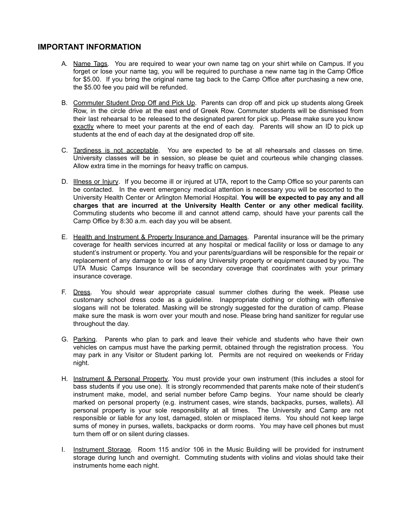#### **IMPORTANT INFORMATION**

- A. Name Tags. You are required to wear your own name tag on your shirt while on Campus. If you forget or lose your name tag, you will be required to purchase a new name tag in the Camp Office for \$5.00. If you bring the original name tag back to the Camp Office after purchasing a new one, the \$5.00 fee you paid will be refunded.
- B. Commuter Student Drop Off and Pick Up. Parents can drop off and pick up students along Greek Row, in the circle drive at the east end of Greek Row. Commuter students will be dismissed from their last rehearsal to be released to the designated parent for pick up. Please make sure you know exactly where to meet your parents at the end of each day. Parents will show an ID to pick up students at the end of each day at the designated drop off site.
- C. Tardiness is not acceptable. You are expected to be at all rehearsals and classes on time. University classes will be in session, so please be quiet and courteous while changing classes. Allow extra time in the mornings for heavy traffic on campus.
- D. Illness or Injury. If you become ill or injured at UTA, report to the Camp Office so your parents can be contacted. In the event emergency medical attention is necessary you will be escorted to the University Health Center or Arlington Memorial Hospital. **You will be expected to pay any and all charges that are incurred at the University Health Center or any other medical facility.** Commuting students who become ill and cannot attend camp, should have your parents call the Camp Office by 8:30 a.m. each day you will be absent.
- E. Health and Instrument & Property Insurance and Damages. Parental insurance will be the primary coverage for health services incurred at any hospital or medical facility or loss or damage to any student's instrument or property. You and your parents/guardians will be responsible for the repair or replacement of any damage to or loss of any University property or equipment caused by you. The UTA Music Camps Insurance will be secondary coverage that coordinates with your primary insurance coverage.
- F. Dress. You should wear appropriate casual summer clothes during the week. Please use customary school dress code as a guideline. Inappropriate clothing or clothing with offensive slogans will not be tolerated. Masking will be strongly suggested for the duration of camp. Please make sure the mask is worn over your mouth and nose. Please bring hand sanitizer for regular use throughout the day.
- G. Parking. Parents who plan to park and leave their vehicle and students who have their own vehicles on campus must have the parking permit, obtained through the registration process. You may park in any Visitor or Student parking lot. Permits are not required on weekends or Friday night.
- H. Instrument & Personal Property. You must provide your own instrument (this includes a stool for bass students if you use one). It is strongly recommended that parents make note of their student's instrument make, model, and serial number before Camp begins. Your name should be clearly marked on personal property (e.g. instrument cases, wire stands, backpacks, purses, wallets). All personal property is your sole responsibility at all times. The University and Camp are not responsible or liable for any lost, damaged, stolen or misplaced items. You should not keep large sums of money in purses, wallets, backpacks or dorm rooms. You may have cell phones but must turn them off or on silent during classes.
- I. Instrument Storage. Room 115 and/or 106 in the Music Building will be provided for instrument storage during lunch and overnight. Commuting students with violins and violas should take their instruments home each night.